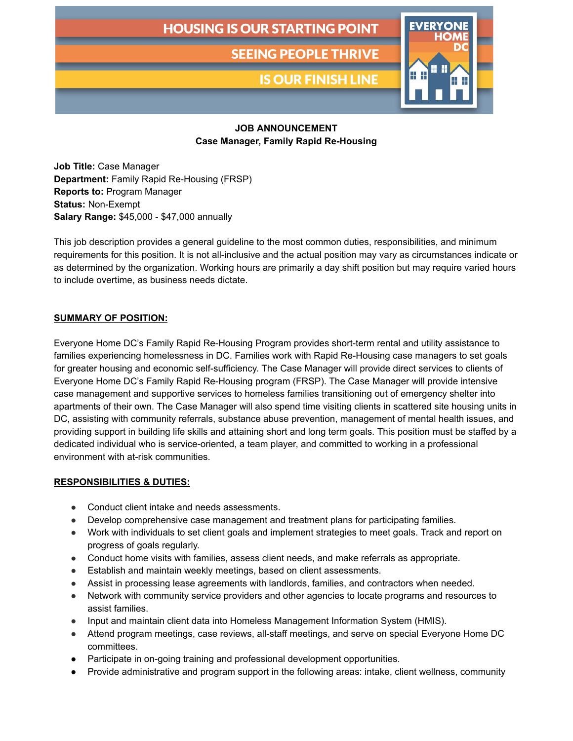# **HOUSING IS OUR STARTING POINT**

**SEEING PEOPLE THRIVE** 

**IS OUR FINISH LINE** 



### **JOB ANNOUNCEMENT Case Manager, Family Rapid Re-Housing**

**Job Title:** Case Manager **Department:** Family Rapid Re-Housing (FRSP) **Reports to:** Program Manager **Status:** Non-Exempt **Salary Range:** \$45,000 - \$47,000 annually

This job description provides a general guideline to the most common duties, responsibilities, and minimum requirements for this position. It is not all-inclusive and the actual position may vary as circumstances indicate or as determined by the organization. Working hours are primarily a day shift position but may require varied hours to include overtime, as business needs dictate.

#### **SUMMARY OF POSITION:**

Everyone Home DC's Family Rapid Re-Housing Program provides short-term rental and utility assistance to families experiencing homelessness in DC. Families work with Rapid Re-Housing case managers to set goals for greater housing and economic self-sufficiency. The Case Manager will provide direct services to clients of Everyone Home DC's Family Rapid Re-Housing program (FRSP). The Case Manager will provide intensive case management and supportive services to homeless families transitioning out of emergency shelter into apartments of their own. The Case Manager will also spend time visiting clients in scattered site housing units in DC, assisting with community referrals, substance abuse prevention, management of mental health issues, and providing support in building life skills and attaining short and long term goals. This position must be staffed by a dedicated individual who is service-oriented, a team player, and committed to working in a professional environment with at-risk communities.

#### **RESPONSIBILITIES & DUTIES:**

- Conduct client intake and needs assessments.
- Develop comprehensive case management and treatment plans for participating families.
- Work with individuals to set client goals and implement strategies to meet goals. Track and report on progress of goals regularly.
- Conduct home visits with families, assess client needs, and make referrals as appropriate.
- Establish and maintain weekly meetings, based on client assessments.
- Assist in processing lease agreements with landlords, families, and contractors when needed.
- Network with community service providers and other agencies to locate programs and resources to assist families.
- Input and maintain client data into Homeless Management Information System (HMIS).
- Attend program meetings, case reviews, all-staff meetings, and serve on special Everyone Home DC committees.
- Participate in on-going training and professional development opportunities.
- Provide administrative and program support in the following areas: intake, client wellness, community